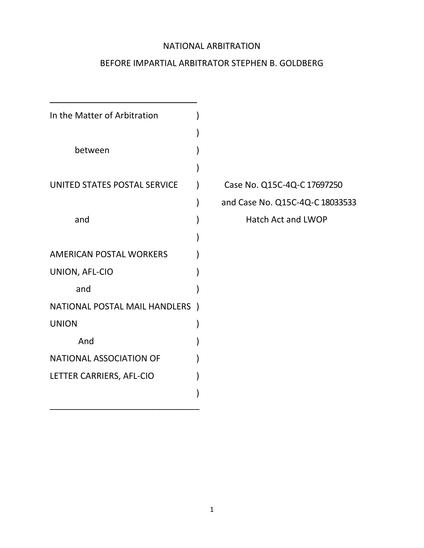### NATIONAL ARBITRATION

## BEFORE IMPARTIAL ARBITRATOR STEPHEN B. GOLDBERG

| In the Matter of Arbitration         |  |
|--------------------------------------|--|
|                                      |  |
| between                              |  |
|                                      |  |
| UNITED STATES POSTAL SERVICE         |  |
|                                      |  |
| and                                  |  |
|                                      |  |
| <b>AMERICAN POSTAL WORKERS</b>       |  |
| UNION, AFL-CIO                       |  |
| and                                  |  |
| <b>NATIONAL POSTAL MAIL HANDLERS</b> |  |
| <b>UNION</b>                         |  |
| And                                  |  |
| <b>NATIONAL ASSOCIATION OF</b>       |  |
| LETTER CARRIERS, AFL-CIO             |  |
|                                      |  |

Case No. Q15C-4Q-C 17697250 ) and Case No. Q15C-4Q-C 18033533 Hatch Act and LWOP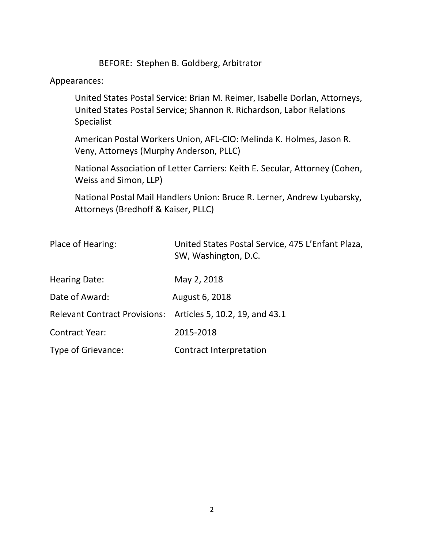BEFORE: Stephen B. Goldberg, Arbitrator

### Appearances:

United States Postal Service: Brian M. Reimer, Isabelle Dorlan, Attorneys, United States Postal Service; Shannon R. Richardson, Labor Relations Specialist

American Postal Workers Union, AFL-CIO: Melinda K. Holmes, Jason R. Veny, Attorneys (Murphy Anderson, PLLC)

National Association of Letter Carriers: Keith E. Secular, Attorney (Cohen, Weiss and Simon, LLP)

National Postal Mail Handlers Union: Bruce R. Lerner, Andrew Lyubarsky, Attorneys (Bredhoff & Kaiser, PLLC)

| Place of Hearing:                                            | United States Postal Service, 475 L'Enfant Plaza,<br>SW, Washington, D.C. |
|--------------------------------------------------------------|---------------------------------------------------------------------------|
| <b>Hearing Date:</b>                                         | May 2, 2018                                                               |
| Date of Award:                                               | August 6, 2018                                                            |
| Relevant Contract Provisions: Articles 5, 10.2, 19, and 43.1 |                                                                           |
| <b>Contract Year:</b>                                        | 2015-2018                                                                 |
| Type of Grievance:                                           | Contract Interpretation                                                   |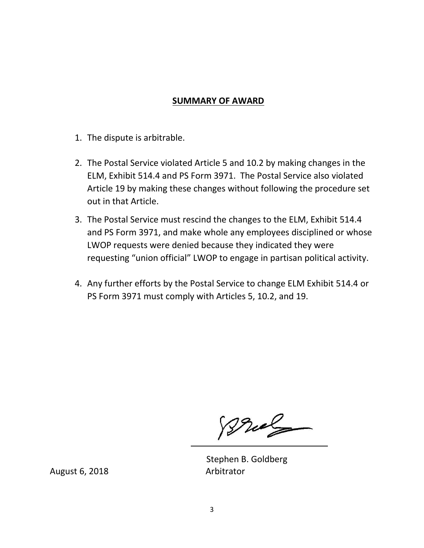### **SUMMARY OF AWARD**

- 1. The dispute is arbitrable.
- 2. The Postal Service violated Article 5 and 10.2 by making changes in the ELM, Exhibit 514.4 and PS Form 3971. The Postal Service also violated Article 19 by making these changes without following the procedure set out in that Article.
- 3. The Postal Service must rescind the changes to the ELM, Exhibit 514.4 and PS Form 3971, and make whole any employees disciplined or whose LWOP requests were denied because they indicated they were requesting "union official" LWOP to engage in partisan political activity.
- 4. Any further efforts by the Postal Service to change ELM Exhibit 514.4 or PS Form 3971 must comply with Articles 5, 10.2, and 19.

Bral

Stephen B. Goldberg

August 6, 2018 Arbitrator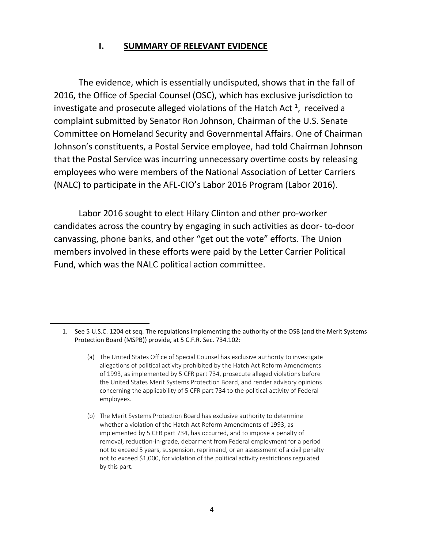### **I. SUMMARY OF RELEVANT EVIDENCE**

The evidence, which is essentially undisputed, shows that in the fall of 2016, the Office of Special Counsel (OSC), which has exclusive jurisdiction to investigate and prosecute alleged violations of the Hatch Act  $^1$ , received a complaint submitted by Senator Ron Johnson, Chairman of the U.S. Senate Committee on Homeland Security and Governmental Affairs. One of Chairman Johnson's constituents, a Postal Service employee, had told Chairman Johnson that the Postal Service was incurring unnecessary overtime costs by releasing employees who were members of the National Association of Letter Carriers (NALC) to participate in the AFL-CIO's Labor 2016 Program (Labor 2016).

Labor 2016 sought to elect Hilary Clinton and other pro-worker candidates across the country by engaging in such activities as door- to-door canvassing, phone banks, and other "get out the vote" efforts. The Union members involved in these efforts were paid by the Letter Carrier Political Fund, which was the NALC political action committee.

l

<sup>1.</sup> See 5 U.S.C. 1204 et seq. The regulations implementing the authority of the OSB (and the Merit Systems Protection Board (MSPB)) provide, at 5 C.F.R. Sec. 734.102:

<sup>(</sup>a) The United States Office of Special Counsel has exclusive authority to investigate allegations of political activity prohibited by the Hatch Act Reform Amendments of 1993, as implemented by 5 CFR part 734, prosecute alleged violations before the United States Merit Systems Protection Board, and render advisory opinions concerning the applicability of 5 CFR part 734 to the political activity of Federal employees.

<sup>(</sup>b) The Merit Systems Protection Board has exclusive authority to determine whether a violation of the Hatch Act Reform Amendments of 1993, as implemented by 5 CFR part 734, has occurred, and to impose a penalty of removal, reduction-in-grade, debarment from Federal employment for a period not to exceed 5 years, suspension, reprimand, or an assessment of a civil penalty not to exceed \$1,000, for violation of the political activity restrictions regulated by this part.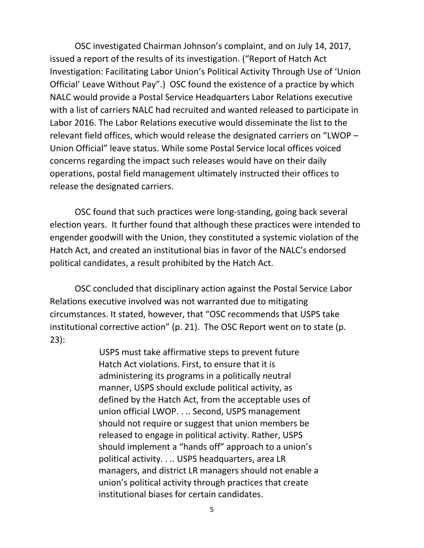OSC investigated Chairman Johnson's complaint, and on July 14, 2017, issued a report of the results of its investigation. ("Report of Hatch Act Investigation: Facilitating Labor Union's Political Activity Through Use of 'Union Official' Leave Without Pay".) OSC found the existence of a practice by which NALC would provide a Postal Service Headquarters Labor Relations executive with a list of carriers NALC had recruited and wanted released to participate in Labor 2016. The Labor Relations executive would disseminate the list to the relevant field offices, which would release the designated carriers on "LWOP – Union Official" leave status. While some Postal Service local offices voiced concerns regarding the impact such releases would have on their daily operations, postal field management ultimately instructed their offices to release the designated carriers.

OSC found that such practices were long-standing, going back several election years. It further found that although these practices were intended to engender goodwill with the Union, they constituted a systemic violation of the Hatch Act, and created an institutional bias in favor of the NALC's endorsed political candidates, a result prohibited by the Hatch Act.

OSC concluded that disciplinary action against the Postal Service Labor Relations executive involved was not warranted due to mitigating circumstances. It stated, however, that "OSC recommends that USPS take institutional corrective action" (p. 21). The OSC Report went on to state (p. 23):

> USPS must take affirmative steps to prevent future Hatch Act violations. First, to ensure that it is administering its programs in a politically neutral manner, USPS should exclude political activity, as defined by the Hatch Act, from the acceptable uses of union official LWOP. . .. Second, USPS management should not require or suggest that union members be released to engage in political activity. Rather, USPS should implement a "hands off" approach to a union's political activity. . .. USPS headquarters, area LR managers, and district LR managers should not enable a union's political activity through practices that create institutional biases for certain candidates.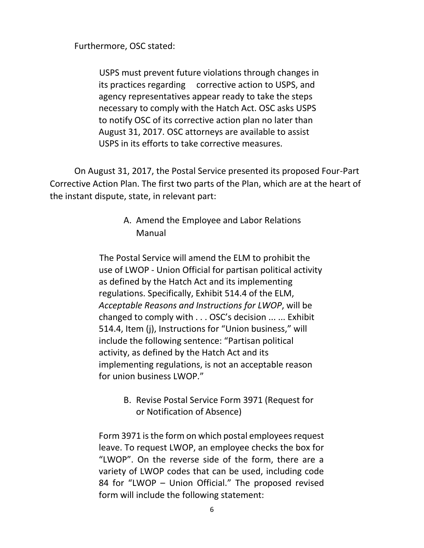Furthermore, OSC stated:

USPS must prevent future violations through changes in its practices regarding corrective action to USPS, and agency representatives appear ready to take the steps necessary to comply with the Hatch Act. OSC asks USPS to notify OSC of its corrective action plan no later than August 31, 2017. OSC attorneys are available to assist USPS in its efforts to take corrective measures.

On August 31, 2017, the Postal Service presented its proposed Four-Part Corrective Action Plan. The first two parts of the Plan, which are at the heart of the instant dispute, state, in relevant part:

# A. Amend the Employee and Labor Relations Manual

The Postal Service will amend the ELM to prohibit the use of LWOP - Union Official for partisan political activity as defined by the Hatch Act and its implementing regulations. Specifically, Exhibit 514.4 of the ELM, *Acceptable Reasons and Instructions for LWOP*, will be changed to comply with . . . OSC's decision ... ... Exhibit 514.4, Item (j), Instructions for "Union business," will include the following sentence: "Partisan political activity, as defined by the Hatch Act and its implementing regulations, is not an acceptable reason for union business LWOP."

> B. Revise Postal Service Form 3971 (Request for or Notification of Absence)

Form 3971 is the form on which postal employees request leave. To request LWOP, an employee checks the box for "LWOP". On the reverse side of the form, there are a variety of LWOP codes that can be used, including code 84 for "LWOP – Union Official." The proposed revised form will include the following statement: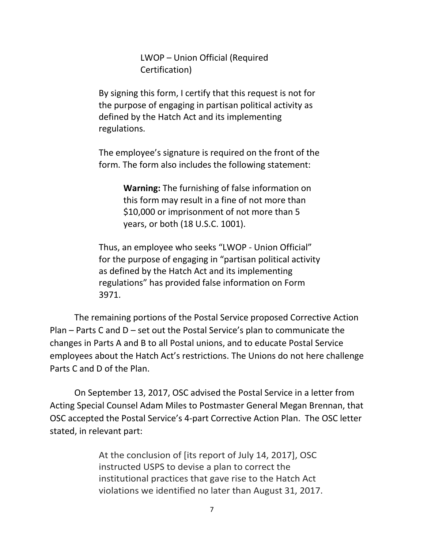LWOP – Union Official (Required Certification)

By signing this form, I certify that this request is not for the purpose of engaging in partisan political activity as defined by the Hatch Act and its implementing regulations.

The employee's signature is required on the front of the form. The form also includes the following statement:

> **Warning:** The furnishing of false information on this form may result in a fine of not more than \$10,000 or imprisonment of not more than 5 years, or both (18 U.S.C. 1001).

Thus, an employee who seeks "LWOP - Union Official" for the purpose of engaging in "partisan political activity as defined by the Hatch Act and its implementing regulations" has provided false information on Form 3971.

The remaining portions of the Postal Service proposed Corrective Action Plan – Parts C and D – set out the Postal Service's plan to communicate the changes in Parts A and B to all Postal unions, and to educate Postal Service employees about the Hatch Act's restrictions. The Unions do not here challenge Parts C and D of the Plan.

On September 13, 2017, OSC advised the Postal Service in a letter from Acting Special Counsel Adam Miles to Postmaster General Megan Brennan, that OSC accepted the Postal Service's 4-part Corrective Action Plan. The OSC letter stated, in relevant part:

> At the conclusion of [its report of July 14, 2017], OSC instructed USPS to devise a plan to correct the institutional practices that gave rise to the Hatch Act violations we identified no later than August 31, 2017.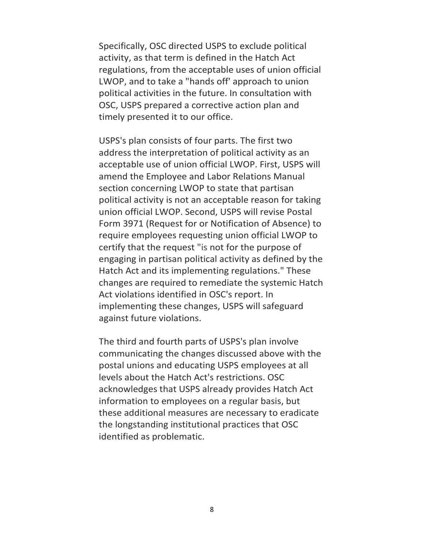Specifically, OSC directed USPS to exclude political activity, as that term is defined in the Hatch Act regulations, from the acceptable uses of union official LWOP, and to take a "hands off' approach to union political activities in the future. In consultation with OSC, USPS prepared a corrective action plan and timely presented it to our office.

USPS's plan consists of four parts. The first two address the interpretation of political activity as an acceptable use of union official LWOP. First, USPS will amend the Employee and Labor Relations Manual section concerning LWOP to state that partisan political activity is not an acceptable reason for taking union official LWOP. Second, USPS will revise Postal Form 3971 (Request for or Notification of Absence) to require employees requesting union official LWOP to certify that the request "is not for the purpose of engaging in partisan political activity as defined by the Hatch Act and its implementing regulations." These changes are required to remediate the systemic Hatch Act violations identified in OSC's report. In implementing these changes, USPS will safeguard against future violations.

The third and fourth parts of USPS's plan involve communicating the changes discussed above with the postal unions and educating USPS employees at all levels about the Hatch Act's restrictions. OSC acknowledges that USPS already provides Hatch Act information to employees on a regular basis, but these additional measures are necessary to eradicate the longstanding institutional practices that OSC identified as problematic.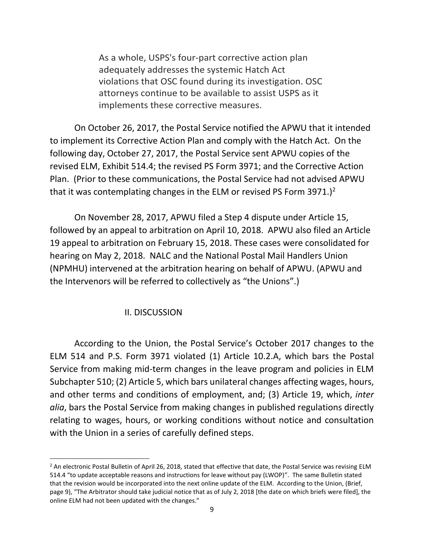As a whole, USPS's four-part corrective action plan adequately addresses the systemic Hatch Act violations that OSC found during its investigation. OSC attorneys continue to be available to assist USPS as it implements these corrective measures.

On October 26, 2017, the Postal Service notified the APWU that it intended to implement its Corrective Action Plan and comply with the Hatch Act. On the following day, October 27, 2017, the Postal Service sent APWU copies of the revised ELM, Exhibit 514.4; the revised PS Form 3971; and the Corrective Action Plan. (Prior to these communications, the Postal Service had not advised APWU that it was contemplating changes in the ELM or revised PS Form 3971.)<sup>2</sup>

On November 28, 2017, APWU filed a Step 4 dispute under Article 15, followed by an appeal to arbitration on April 10, 2018. APWU also filed an Article 19 appeal to arbitration on February 15, 2018. These cases were consolidated for hearing on May 2, 2018. NALC and the National Postal Mail Handlers Union (NPMHU) intervened at the arbitration hearing on behalf of APWU. (APWU and the Intervenors will be referred to collectively as "the Unions".)

#### II. DISCUSSION

l

According to the Union, the Postal Service's October 2017 changes to the ELM 514 and P.S. Form 3971 violated (1) Article 10.2.A, which bars the Postal Service from making mid-term changes in the leave program and policies in ELM Subchapter 510; (2) Article 5, which bars unilateral changes affecting wages, hours, and other terms and conditions of employment, and; (3) Article 19, which, *inter alia*, bars the Postal Service from making changes in published regulations directly relating to wages, hours, or working conditions without notice and consultation with the Union in a series of carefully defined steps.

<sup>&</sup>lt;sup>2</sup> An electronic Postal Bulletin of April 26, 2018, stated that effective that date, the Postal Service was revising ELM 514.4 "to update acceptable reasons and instructions for leave without pay (LWOP)". The same Bulletin stated that the revision would be incorporated into the next online update of the ELM. According to the Union, (Brief, page 9), "The Arbitrator should take judicial notice that as of July 2, 2018 [the date on which briefs were filed], the online ELM had not been updated with the changes."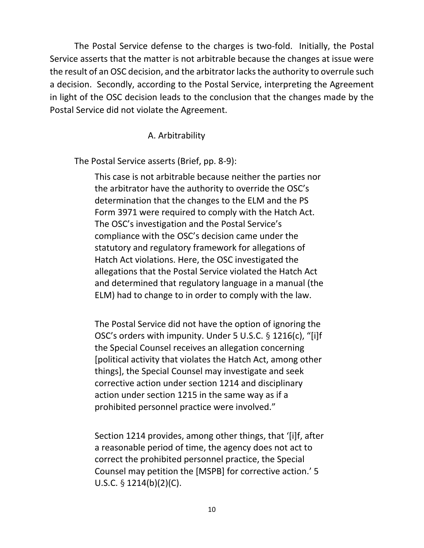The Postal Service defense to the charges is two-fold. Initially, the Postal Service asserts that the matter is not arbitrable because the changes at issue were the result of an OSC decision, and the arbitrator lacks the authority to overrule such a decision. Secondly, according to the Postal Service, interpreting the Agreement in light of the OSC decision leads to the conclusion that the changes made by the Postal Service did not violate the Agreement.

### A. Arbitrability

The Postal Service asserts (Brief, pp. 8-9):

This case is not arbitrable because neither the parties nor the arbitrator have the authority to override the OSC's determination that the changes to the ELM and the PS Form 3971 were required to comply with the Hatch Act. The OSC's investigation and the Postal Service's compliance with the OSC's decision came under the statutory and regulatory framework for allegations of Hatch Act violations. Here, the OSC investigated the allegations that the Postal Service violated the Hatch Act and determined that regulatory language in a manual (the ELM) had to change to in order to comply with the law.

The Postal Service did not have the option of ignoring the OSC's orders with impunity. Under 5 U.S.C. § 1216(c), "[i]f the Special Counsel receives an allegation concerning [political activity that violates the Hatch Act, among other things], the Special Counsel may investigate and seek corrective action under section 1214 and disciplinary action under section 1215 in the same way as if a prohibited personnel practice were involved."

Section 1214 provides, among other things, that '[i]f, after a reasonable period of time, the agency does not act to correct the prohibited personnel practice, the Special Counsel may petition the [MSPB] for corrective action.' 5 U.S.C. § 1214(b)(2)(C).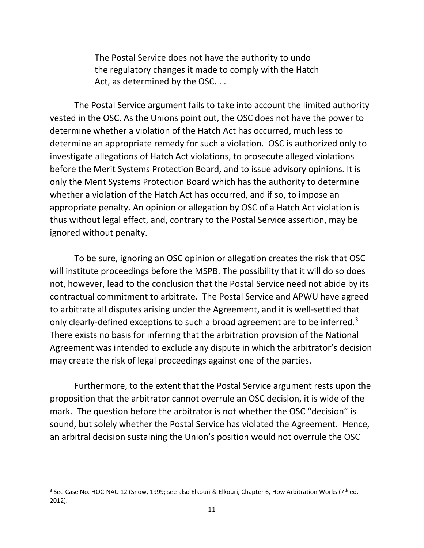The Postal Service does not have the authority to undo the regulatory changes it made to comply with the Hatch Act, as determined by the OSC...

The Postal Service argument fails to take into account the limited authority vested in the OSC. As the Unions point out, the OSC does not have the power to determine whether a violation of the Hatch Act has occurred, much less to determine an appropriate remedy for such a violation. OSC is authorized only to investigate allegations of Hatch Act violations, to prosecute alleged violations before the Merit Systems Protection Board, and to issue advisory opinions. It is only the Merit Systems Protection Board which has the authority to determine whether a violation of the Hatch Act has occurred, and if so, to impose an appropriate penalty. An opinion or allegation by OSC of a Hatch Act violation is thus without legal effect, and, contrary to the Postal Service assertion, may be ignored without penalty.

To be sure, ignoring an OSC opinion or allegation creates the risk that OSC will institute proceedings before the MSPB. The possibility that it will do so does not, however, lead to the conclusion that the Postal Service need not abide by its contractual commitment to arbitrate. The Postal Service and APWU have agreed to arbitrate all disputes arising under the Agreement, and it is well-settled that only clearly-defined exceptions to such a broad agreement are to be inferred.<sup>3</sup> There exists no basis for inferring that the arbitration provision of the National Agreement was intended to exclude any dispute in which the arbitrator's decision may create the risk of legal proceedings against one of the parties.

Furthermore, to the extent that the Postal Service argument rests upon the proposition that the arbitrator cannot overrule an OSC decision, it is wide of the mark. The question before the arbitrator is not whether the OSC "decision" is sound, but solely whether the Postal Service has violated the Agreement. Hence, an arbitral decision sustaining the Union's position would not overrule the OSC

 $\overline{\phantom{a}}$ 

<sup>&</sup>lt;sup>3</sup> See Case No. HOC-NAC-12 (Snow, 1999; see also Elkouri & Elkouri, Chapter 6, How Arbitration Works (7<sup>th</sup> ed. 2012).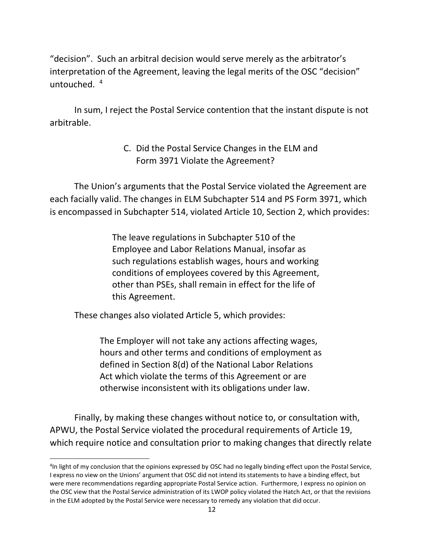"decision". Such an arbitral decision would serve merely as the arbitrator's interpretation of the Agreement, leaving the legal merits of the OSC "decision" untouched. <sup>4</sup>

In sum, I reject the Postal Service contention that the instant dispute is not arbitrable.

# C. Did the Postal Service Changes in the ELM and Form 3971 Violate the Agreement?

The Union's arguments that the Postal Service violated the Agreement are each facially valid. The changes in ELM Subchapter 514 and PS Form 3971, which is encompassed in Subchapter 514, violated Article 10, Section 2, which provides:

> The leave regulations in Subchapter 510 of the Employee and Labor Relations Manual, insofar as such regulations establish wages, hours and working conditions of employees covered by this Agreement, other than PSEs, shall remain in effect for the life of this Agreement.

These changes also violated Article 5, which provides:

l

The Employer will not take any actions affecting wages, hours and other terms and conditions of employment as defined in Section 8(d) of the National Labor Relations Act which violate the terms of this Agreement or are otherwise inconsistent with its obligations under law.

Finally, by making these changes without notice to, or consultation with, APWU, the Postal Service violated the procedural requirements of Article 19, which require notice and consultation prior to making changes that directly relate

<sup>4</sup> In light of my conclusion that the opinions expressed by OSC had no legally binding effect upon the Postal Service, I express no view on the Unions' argument that OSC did not intend its statements to have a binding effect, but were mere recommendations regarding appropriate Postal Service action. Furthermore, I express no opinion on the OSC view that the Postal Service administration of its LWOP policy violated the Hatch Act, or that the revisions in the ELM adopted by the Postal Service were necessary to remedy any violation that did occur.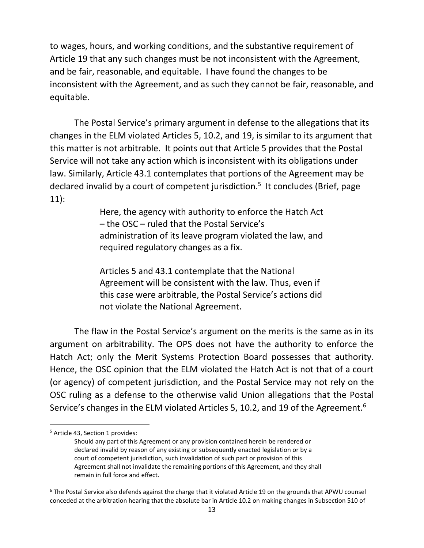to wages, hours, and working conditions, and the substantive requirement of Article 19 that any such changes must be not inconsistent with the Agreement, and be fair, reasonable, and equitable. I have found the changes to be inconsistent with the Agreement, and as such they cannot be fair, reasonable, and equitable.

The Postal Service's primary argument in defense to the allegations that its changes in the ELM violated Articles 5, 10.2, and 19, is similar to its argument that this matter is not arbitrable. It points out that Article 5 provides that the Postal Service will not take any action which is inconsistent with its obligations under law. Similarly, Article 43.1 contemplates that portions of the Agreement may be declared invalid by a court of competent jurisdiction.<sup>5</sup> It concludes (Brief, page 11):

> Here, the agency with authority to enforce the Hatch Act – the OSC – ruled that the Postal Service's administration of its leave program violated the law, and required regulatory changes as a fix.

> Articles 5 and 43.1 contemplate that the National Agreement will be consistent with the law. Thus, even if this case were arbitrable, the Postal Service's actions did not violate the National Agreement.

The flaw in the Postal Service's argument on the merits is the same as in its argument on arbitrability. The OPS does not have the authority to enforce the Hatch Act; only the Merit Systems Protection Board possesses that authority. Hence, the OSC opinion that the ELM violated the Hatch Act is not that of a court (or agency) of competent jurisdiction, and the Postal Service may not rely on the OSC ruling as a defense to the otherwise valid Union allegations that the Postal Service's changes in the ELM violated Articles 5, 10.2, and 19 of the Agreement.<sup>6</sup>

 $\overline{a}$ 

<sup>&</sup>lt;sup>5</sup> Article 43, Section 1 provides:

Should any part of this Agreement or any provision contained herein be rendered or declared invalid by reason of any existing or subsequently enacted legislation or by a court of competent jurisdiction, such invalidation of such part or provision of this Agreement shall not invalidate the remaining portions of this Agreement, and they shall remain in full force and effect.

<sup>&</sup>lt;sup>6</sup> The Postal Service also defends against the charge that it violated Article 19 on the grounds that APWU counsel conceded at the arbitration hearing that the absolute bar in Article 10.2 on making changes in Subsection 510 of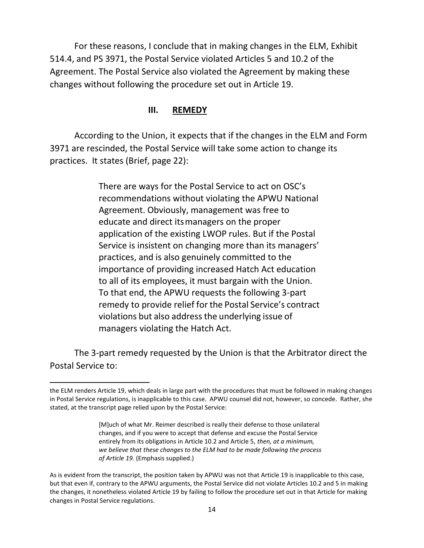For these reasons, I conclude that in making changes in the ELM, Exhibit 514.4, and PS 3971, the Postal Service violated Articles 5 and 10.2 of the Agreement. The Postal Service also violated the Agreement by making these changes without following the procedure set out in Article 19.

#### **III. REMEDY**

According to the Union, it expects that if the changes in the ELM and Form 3971 are rescinded, the Postal Service will take some action to change its practices. It states (Brief, page 22):

> There are ways for the Postal Service to act on OSC's recommendations without violating the APWU National Agreement. Obviously, management was free to educate and direct itsmanagers on the proper application of the existing LWOP rules. But if the Postal Service is insistent on changing more than its managers' practices, and is also genuinely committed to the importance of providing increased Hatch Act education to all of its employees, it must bargain with the Union. To that end, the APWU requests the following 3-part remedy to provide relief for the Postal Service's contract violations but also addressthe underlying issue of managers violating the Hatch Act.

The 3-part remedy requested by the Union is that the Arbitrator direct the Postal Service to:

 $\overline{a}$ 

the ELM renders Article 19, which deals in large part with the procedures that must be followed in making changes in Postal Service regulations, is inapplicable to this case. APWU counsel did not, however, so concede. Rather, she stated, at the transcript page relied upon by the Postal Service:

<sup>[</sup>M]uch of what Mr. Reimer described is really their defense to those unilateral changes, and if you were to accept that defense and excuse the Postal Service entirely from its obligations in Article 10.2 and Article 5, *then, at a minimum, we believe that these changes to the ELM had to be made following the process of Article 19.* (Emphasis supplied.)

As is evident from the transcript, the position taken by APWU was not that Article 19 is inapplicable to this case, but that even if, contrary to the APWU arguments, the Postal Service did not violate Articles 10.2 and 5 in making the changes, it nonetheless violated Article 19 by failing to follow the procedure set out in that Article for making changes in Postal Service regulations.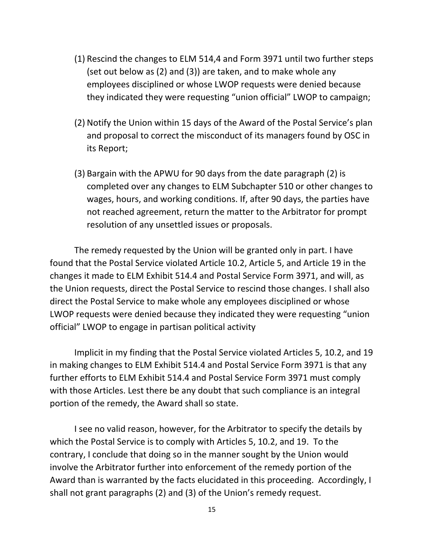- (1) Rescind the changes to ELM 514,4 and Form 3971 until two further steps (set out below as (2) and (3)) are taken, and to make whole any employees disciplined or whose LWOP requests were denied because they indicated they were requesting "union official" LWOP to campaign;
- (2) Notify the Union within 15 days of the Award of the Postal Service's plan and proposal to correct the misconduct of its managers found by OSC in its Report;
- (3) Bargain with the APWU for 90 days from the date paragraph (2) is completed over any changes to ELM Subchapter 510 or other changes to wages, hours, and working conditions. If, after 90 days, the parties have not reached agreement, return the matter to the Arbitrator for prompt resolution of any unsettled issues or proposals.

The remedy requested by the Union will be granted only in part. I have found that the Postal Service violated Article 10.2, Article 5, and Article 19 in the changes it made to ELM Exhibit 514.4 and Postal Service Form 3971, and will, as the Union requests, direct the Postal Service to rescind those changes. I shall also direct the Postal Service to make whole any employees disciplined or whose LWOP requests were denied because they indicated they were requesting "union official" LWOP to engage in partisan political activity

Implicit in my finding that the Postal Service violated Articles 5, 10.2, and 19 in making changes to ELM Exhibit 514.4 and Postal Service Form 3971 is that any further efforts to ELM Exhibit 514.4 and Postal Service Form 3971 must comply with those Articles. Lest there be any doubt that such compliance is an integral portion of the remedy, the Award shall so state.

I see no valid reason, however, for the Arbitrator to specify the details by which the Postal Service is to comply with Articles 5, 10.2, and 19. To the contrary, I conclude that doing so in the manner sought by the Union would involve the Arbitrator further into enforcement of the remedy portion of the Award than is warranted by the facts elucidated in this proceeding. Accordingly, I shall not grant paragraphs (2) and (3) of the Union's remedy request.